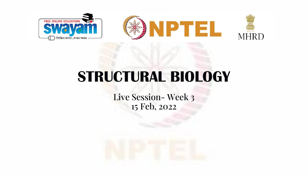

# **STRUCTURAL BIOLOGY**

Live Session- Week 3 15 Feb, 2022

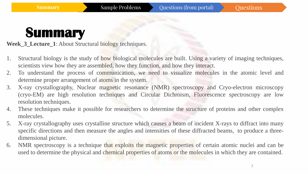**Week\_3\_Lecture\_1**: About Structural biology techniques.

- 1. Structural biology is the study of how biological molecules are built. Using a variety of imaging techniques, scientists view how they are assembled, how they function, and how they interact.
- 2. To understand the process of communication, we need to visualize molecules in the atomic level and determine proper arrangement of atoms in the system.
- 3. X-ray crystallography, Nuclear magnetic resonance (NMR) spectroscopy and Cryo-electron microscopy (cryo-EM) are high resolution techniques and Circular Dichroism, Fluorescence spectroscopy are low resolution techniques.
- 4. These techniques make it possible for researchers to determine the structure of proteins and other complex molecules.
- 5. X-ray crystallography uses crystalline structure which causes a beam of incident X-rays to diffract into many specific directions and then measure the angles and intensities of these diffracted beams, to produce a threedimensional picture.
- 6. NMR spectroscopy is a technique that exploits the magnetic properties of certain atomic nuclei and can be used to determine the physical and chemical properties of atoms or the molecules in which they are contained.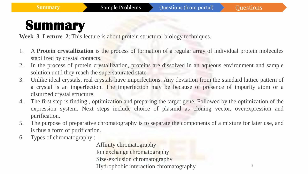Week 3 Lecture 2: This lecture is about protein structural biology techniques.

- 1. A **Protein crystallization** is the process of formation of a regular array of individual protein molecules stabilized by crystal contacts.
- 2. In the process of protein crystallization, proteins are dissolved in an aqueous environment and sample solution until they reach the supersaturated state.
- 3. Unlike ideal crystals, real crystals have imperfections. Any deviation from the standard lattice pattern of a crystal is an imperfection. The imperfection may be because of presence of impurity atom or a disturbed crystal structure.
- 4. The first step is finding , optimization and preparing the target gene. Followed by the optimization of the expression system. Next steps include choice of plasmid as cloning vector, overexpression and purification.
- 5. The purpose of preparative chromatography is to separate the components of a mixture for later use, and is thus a form of purification.
- 6. Types of chromatography :

Affinity chromatography Ion exchange chromatography Size-exclusion chromatography Hydrophobic interaction chromatography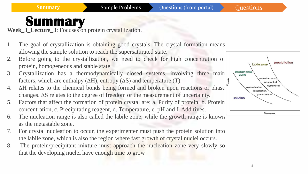Week 3 Lecture 3: Focuses on protein crystallization.

- 1. The goal of crystallization is obtaining good crystals. The crystal formation means allowing the sample solution to reach the supersaturated state.
- 2. Before going to the crystallization, we need to check for high concentration of protein, homogeneous and stable state.
- 3. Crystallization has a thermodynamically closed systems, involving three main factors, which are enthalpy ( $\Delta H$ ), entropy ( $\Delta S$ ) and temperature (T).
- 4. ∆H relates to the chemical bonds being formed and broken upon reactions or phase changes. ∆S relates to the degree of freedom or the measurement of uncertainty.
- 5. Factors that affect the formation of protein crystal are: a. Purity of protein, b. Protein concentration, c. Precipitating reagent, d. Temperature, e. pH and f. Additives.



- 6. The nucleation range is also called the labile zone, while the growth range is known as the metastable zone.
- 7. For crystal nucleation to occur, the experimenter must push the protein solution into the labile zone, which is also the region where fast growth of crystal nuclei occurs.
- 8. The protein/precipitant mixture must approach the nucleation zone very slowly so that the developing nuclei have enough time to grow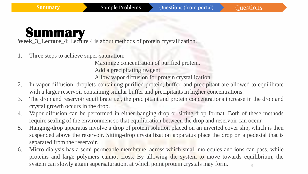**Week\_3\_Lecture\_4**: Lecture 4 is about methods of protein crystallization.

1. Three steps to achieve super-saturation:

Maximize concentration of purified protein. Add a precipitating reagent Allow vapor diffusion for protein crystallization

- 2. In vapor diffusion, droplets containing purified protein, buffer, and precipitant are allowed to equilibrate with a larger reservoir containing similar buffer and precipitants in higher concentrations.
- 3. The drop and reservoir equilibrate i.e., the precipitant and protein concentrations increase in the drop and crystal growth occurs in the drop.
- 4. Vapor diffusion can be performed in either hanging-drop or sitting-drop format. Both of these methods require sealing of the environment so that equilibration between the drop and reservoir can occur.
- 5. Hanging-drop apparatus involve a drop of protein solution placed on an inverted cover slip, which is then suspended above the reservoir. Sitting-drop crystallization apparatus place the drop on a pedestal that is separated from the reservoir.
- 5 6. Micro dialysis has a semi-permeable membrane, across which small molecules and ions can pass, while proteins and large polymers cannot cross. By allowing the system to move towards equilibrium, the system can slowly attain supersaturation, at which point protein crystals may form.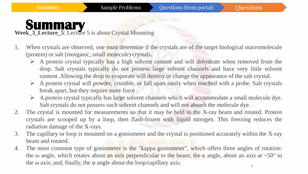Week 3 Lecture 5: Lecture 5 is about Crystal Mounting

- 1. When crystals are observed, one must determine if the crystals are of the target biological macromolecule (protein) or salt (inorganic, small molecule) crystals.
	- $\triangleright$  A protein crystal typically has a high solvent content and will dehydrate when removed from the drop. Salt crystals typically do not possess large solvent channels and have very little solvent content. Allowing the drop to evaporate will destroy or change the appearance of the salt crystal.
	- $\triangleright$  A protein crystal will powder, crumble, or fall apart easily when touched with a probe. Salt crystals break apart, but they require more force .
	- ➢ A protein crystal typically has large solvent channels which will accommodate a small molecule dye. Salt crystals do not possess such solvent channels and will not absorb the molecule dye.
- 2. The crystal is mounted for measurements so that it may be held in the X-ray beam and rotated. Protein crystals are scooped up by a loop, then flash-frozen with liquid nitrogen. This freezing reduces the radiation damage of the X-rays.
- 3. The capillary or loop is mounted on a goniometer and the crystal is positioned accurately within the X-ray beam and rotated.
- 4. The most common type of goniometer is the "kappa goniometer", which offers three angles of rotation: the ω angle, which rotates about an axis perpendicular to the beam; the  $\kappa$  angle, about an axis at ~50° to the  $\omega$  axis; and, finally, the  $\varphi$  angle about the loop/capillary axis.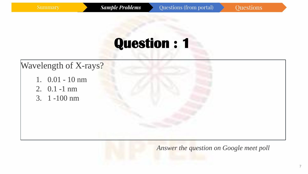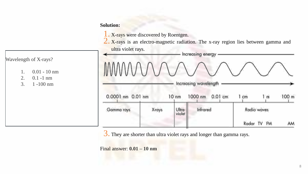1. X-rays were discovered by Roentgen.

2. X-rays is an electro-magnetic radiation. The x-ray region lies between gamma and ultra violet rays.

| M M N N N                             |                            |  | Increasing energy<br>Increasing wavelength |           |             |             |                  |
|---------------------------------------|----------------------------|--|--------------------------------------------|-----------|-------------|-------------|------------------|
| 0.0001 nm 0.01 nm<br>10 <sub>nm</sub> |                            |  | 1000 nm                                    | $0.01$ cm | cm          | 1 m         | 100 <sub>m</sub> |
| Gamma rays                            | X-rays<br>Ultra-<br>violet |  | Infrared                                   |           | Radio waves |             |                  |
|                                       |                            |  |                                            |           |             | Radar TV FM | AM               |

3. They are shorter than ultra violet rays and longer than gamma rays.

Final answer: **0.01 – 10 nm**

### Wavelength of X-rays?

- 1. 0.01 10 nm
- 2. 0.1 -1 nm
- 3. 1 -100 nm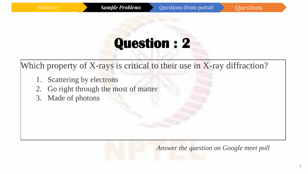Which property of X-rays is critical to their use in X-ray diffraction?

- 1. Scattering by electrons
- 2. Go right through the most of matter
- 3. Made of photons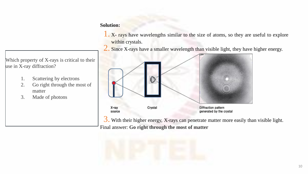1. X- rays have wavelengths similar to the size of atoms, so they are useful to explore within crystals.

2. Since X-rays have a smaller wavelength than visible light, they have higher energy.



3. With their higher energy, X-rays can penetrate matter more easily than visible light. Final answer: **Go right through the most of matter**



Which property of X-rays is critical to their use in X-ray diffraction?

- 1. Scattering by electrons
- 2. Go right through the most of matter
- 3. Made of photons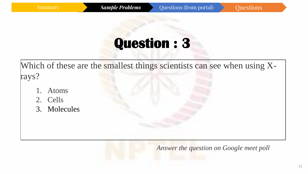Which of these are the smallest things scientists can see when using Xrays?

- 1. Atoms
- 2. Cells
- 3. Molecules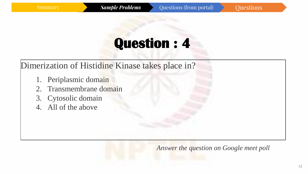Dimerization of Histidine Kinase takes place in?

- 1. Periplasmic domain
- 2. Transmembrane domain
- 3. Cytosolic domain
- 4. All of the above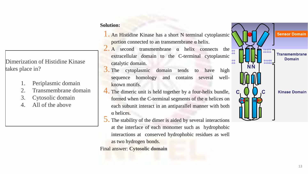### Dimerization of Histidine Kinase takes place in?

- 1. Periplasmic domain
- 2. Transmembrane domain
- 3. Cytosolic domain
- 4. All of the above

#### **Solution:**

- 1. An Histidine Kinase has <sup>a</sup> short <sup>N</sup> terminal cytoplasmic portion connected to an transmembrane α helix.
- 2. A second transmembrane  $\alpha$  helix connects the extracellular domain to the C-terminal cytoplasmic catalytic domain.
- 3. The cytoplasmic domain tends to have high sequence homology and contains several wellknown motifs.
- 4. The dimeric unit is held together by a four-helix bundle, formed when the C-terminal segments of the  $\alpha$  helices on each subunit interact in an antiparallel manner with both α helices.
- 5. The stability of the dimer is aided by several interactions at the interface of each monomer such as hydrophobic interactions at conserved hydrophobic residues as well as two hydrogen bonds.



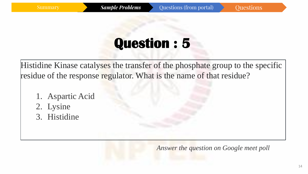Histidine Kinase catalyses the transfer of the phosphate group to the specific residue of the response regulator. What is the name of that residue?

- 1. Aspartic Acid
- 2. Lysine
- 3. Histidine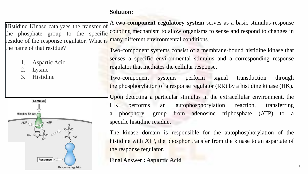Histidine Kinase catalyzes the transfer of the phosphate group to the specific residue of the response regulator. What is the name of that residue? coupling mechanism to allow organisms to sense and respond to changes in many different environmental conditions.

- 1. Aspartic Acid
- 2. Lysine
- 3. Histidine



A **two-component regulatory system** serves as a basic stimulus-response

Two-component systems consist of a membrane-bound histidine kinase that senses a specific environmental stimulus and a corresponding response regulator that mediates the cellular response.

Two-component systems perform signal transduction through the phosphorylation of a response regulator (RR) by a histidine kinase (HK).

Upon detecting a particular stimulus in the extracellular environment, the HK performs an autophosphorylation reaction, transferring a phosphoryl group from adenosine triphosphate (ATP) to a specific histidine residue.

The kinase domain is responsible for the autophosphorylation of the histidine with ATP, the phosphor transfer from the kinase to an aspartate of the response regulator.

Final Answer **: Aspartic Acid**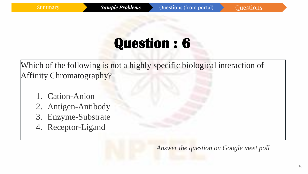Which of the following is not a highly specific biological interaction of Affinity Chromatography?

- 1. Cation-Anion
- 2. Antigen-Antibody
- 3. Enzyme-Substrate
- 4. Receptor-Ligand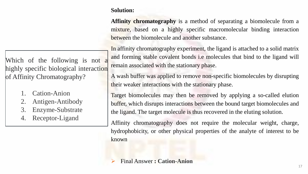**Affinity chromatography** is a method of separating a biomolecule from a mixture, based on a highly specific macromolecular binding interaction between the biomolecule and another substance.

In affinity chromatography experiment, the ligand is attached to a solid matrix and forming stable covalent bonds i.e molecules that bind to the ligand will remain associated with the stationary phase.

A wash buffer was applied to remove non-specific biomolecules by disrupting their weaker interactions with the stationary phase.

Target biomolecules may then be removed by applying a so-called elution buffer, which disrupts interactions between the bound target biomolecules and the ligand. The target molecule is thus recovered in the eluting solution.

Affinity chromatography does not require the molecular weight, charge, hydrophobicity, or other physical properties of the analyte of interest to be known

➢ Final Answer **: Cation-Anion**

Which of the following is not a highly specific biological interaction of Affinity Chromatography?

- 1. Cation-Anion
- 2. Antigen-Antibody
- 3. Enzyme-Substrate
- 4. Receptor-Ligand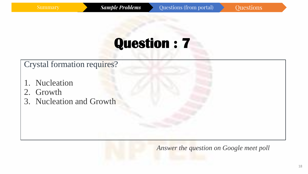Crystal formation requires?

- 1. Nucleation
- 2. Growth
- 3. Nucleation and Growth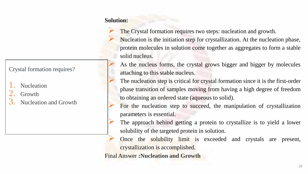The Crystal formation requires two steps: nucleation and growth. ➢ Nucleation is the initiation step for crystallization. At the nucleation phase, protein molecules in solution come together as aggregates to form a stable solid nucleus.

As the nucleus forms, the crystal grows bigger and bigger by molecules attaching to this stable nucleus.

The nucleation step is critical for crystal formation since it is the first-order phase transition of samples moving from having a high degree of freedom to obtaining an ordered state (aqueous to solid).

For the nucleation step to succeed, the manipulation of crystallization parameters is essential.

The approach behind getting a protein to crystallize is to yield a lower solubility of the targeted protein in solution.

Once the solubility limit is exceeded and crystals are present, crystallization is accomplished.

Final Answer **:Nucleation and Growth**

### Crystal formation requires?

- Nucleation
- Growth
- Nucleation and Growth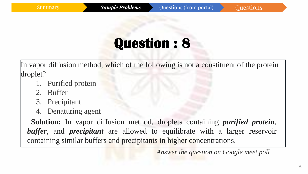In vapor diffusion method, which of the following is not a constituent of the protein droplet?

- 1. Purified protein
- 2. Buffer
- 3. Precipitant
- 4. Denaturing agent

**Solution:** In vapor diffusion method, droplets containing *purified protein*, *buffer*, and *precipitant* are allowed to equilibrate with a larger reservoir containing similar buffers and precipitants in higher concentrations.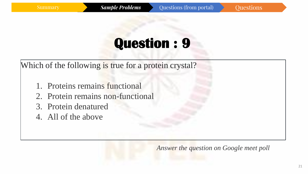Which of the following is true for a protein crystal?

- 1. Proteins remains functional
- 2. Protein remains non-functional
- 3. Protein denatured
- 4. All of the above